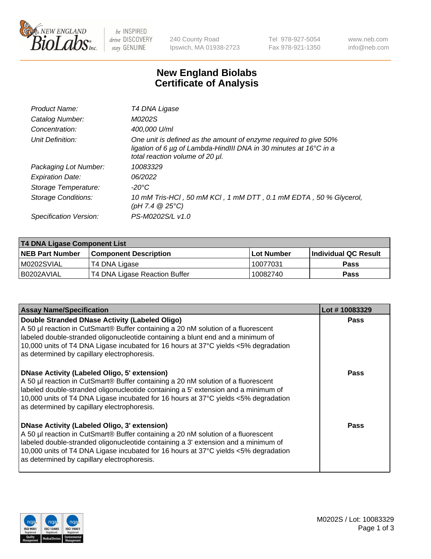

be INSPIRED drive DISCOVERY stay GENUINE

240 County Road Ipswich, MA 01938-2723 Tel 978-927-5054 Fax 978-921-1350 www.neb.com info@neb.com

## **New England Biolabs Certificate of Analysis**

| Product Name:           | T4 DNA Ligase                                                                                                                                                            |
|-------------------------|--------------------------------------------------------------------------------------------------------------------------------------------------------------------------|
| Catalog Number:         | M0202S                                                                                                                                                                   |
| Concentration:          | 400,000 U/ml                                                                                                                                                             |
| Unit Definition:        | One unit is defined as the amount of enzyme required to give 50%<br>ligation of 6 µg of Lambda-HindIII DNA in 30 minutes at 16°C in a<br>total reaction volume of 20 µl. |
| Packaging Lot Number:   | 10083329                                                                                                                                                                 |
| <b>Expiration Date:</b> | 06/2022                                                                                                                                                                  |
| Storage Temperature:    | -20°C                                                                                                                                                                    |
| Storage Conditions:     | 10 mM Tris-HCl, 50 mM KCl, 1 mM DTT, 0.1 mM EDTA, 50 % Glycerol,<br>(pH 7.4 $@25°C$ )                                                                                    |
| Specification Version:  | PS-M0202S/L v1.0                                                                                                                                                         |

| T4 DNA Ligase Component List |                               |              |                             |  |
|------------------------------|-------------------------------|--------------|-----------------------------|--|
| <b>NEB Part Number</b>       | <b>Component Description</b>  | l Lot Number | <b>Individual QC Result</b> |  |
| M0202SVIAL                   | T4 DNA Ligase                 | 10077031     | <b>Pass</b>                 |  |
| I B0202AVIAL                 | T4 DNA Ligase Reaction Buffer | 10082740     | <b>Pass</b>                 |  |

| <b>Assay Name/Specification</b>                                                                                                                                                                                                                                                                                                                                      | Lot #10083329 |
|----------------------------------------------------------------------------------------------------------------------------------------------------------------------------------------------------------------------------------------------------------------------------------------------------------------------------------------------------------------------|---------------|
| Double Stranded DNase Activity (Labeled Oligo)<br>A 50 µl reaction in CutSmart® Buffer containing a 20 nM solution of a fluorescent<br>labeled double-stranded oligonucleotide containing a blunt end and a minimum of<br>10,000 units of T4 DNA Ligase incubated for 16 hours at 37°C yields <5% degradation<br>as determined by capillary electrophoresis.         | <b>Pass</b>   |
| DNase Activity (Labeled Oligo, 5' extension)<br>A 50 µl reaction in CutSmart® Buffer containing a 20 nM solution of a fluorescent<br>labeled double-stranded oligonucleotide containing a 5' extension and a minimum of<br>10,000 units of T4 DNA Ligase incubated for 16 hours at 37°C yields <5% degradation<br>as determined by capillary electrophoresis.        | Pass          |
| <b>DNase Activity (Labeled Oligo, 3' extension)</b><br>A 50 µl reaction in CutSmart® Buffer containing a 20 nM solution of a fluorescent<br>labeled double-stranded oligonucleotide containing a 3' extension and a minimum of<br>10,000 units of T4 DNA Ligase incubated for 16 hours at 37°C yields <5% degradation<br>as determined by capillary electrophoresis. | Pass          |

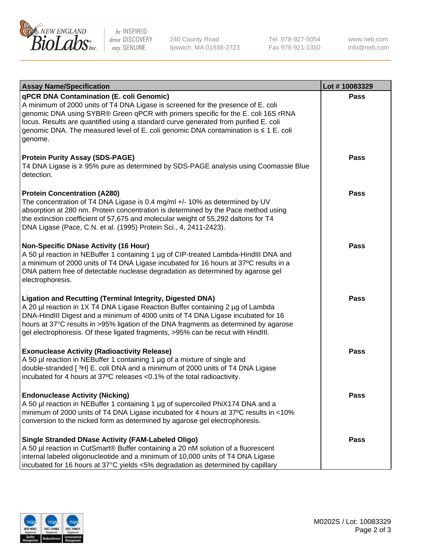

be INSPIRED drive DISCOVERY stay GENUINE

240 County Road Ipswich, MA 01938-2723 Tel 978-927-5054 Fax 978-921-1350

www.neb.com info@neb.com

| <b>Assay Name/Specification</b>                                                                                                                                                                                                                                                                                                                                                                                    | Lot #10083329 |
|--------------------------------------------------------------------------------------------------------------------------------------------------------------------------------------------------------------------------------------------------------------------------------------------------------------------------------------------------------------------------------------------------------------------|---------------|
| qPCR DNA Contamination (E. coli Genomic)<br>A minimum of 2000 units of T4 DNA Ligase is screened for the presence of E. coli<br>genomic DNA using SYBR® Green qPCR with primers specific for the E. coli 16S rRNA<br>locus. Results are quantified using a standard curve generated from purified E. coli<br>genomic DNA. The measured level of E. coli genomic DNA contamination is ≤ 1 E. coli<br>genome.        | <b>Pass</b>   |
| <b>Protein Purity Assay (SDS-PAGE)</b><br>T4 DNA Ligase is ≥ 95% pure as determined by SDS-PAGE analysis using Coomassie Blue<br>detection.                                                                                                                                                                                                                                                                        | <b>Pass</b>   |
| <b>Protein Concentration (A280)</b><br>The concentration of T4 DNA Ligase is 0.4 mg/ml +/- 10% as determined by UV<br>absorption at 280 nm. Protein concentration is determined by the Pace method using<br>the extinction coefficient of 57,675 and molecular weight of 55,292 daltons for T4<br>DNA Ligase (Pace, C.N. et al. (1995) Protein Sci., 4, 2411-2423).                                                | Pass          |
| <b>Non-Specific DNase Activity (16 Hour)</b><br>A 50 µl reaction in NEBuffer 1 containing 1 µg of CIP-treated Lambda-HindIII DNA and<br>a minimum of 2000 units of T4 DNA Ligase incubated for 16 hours at 37°C results in a<br>DNA pattern free of detectable nuclease degradation as determined by agarose gel<br>electrophoresis.                                                                               | Pass          |
| <b>Ligation and Recutting (Terminal Integrity, Digested DNA)</b><br>A 20 µl reaction in 1X T4 DNA Ligase Reaction Buffer containing 2 µg of Lambda<br>DNA-HindIII Digest and a minimum of 4000 units of T4 DNA Ligase incubated for 16<br>hours at 37°C results in >95% ligation of the DNA fragments as determined by agarose<br>gel electrophoresis. Of these ligated fragments, >95% can be recut with HindIII. | <b>Pass</b>   |
| <b>Exonuclease Activity (Radioactivity Release)</b><br>A 50 µl reaction in NEBuffer 1 containing 1 µg of a mixture of single and<br>double-stranded [3H] E. coli DNA and a minimum of 2000 units of T4 DNA Ligase<br>incubated for 4 hours at 37°C releases <0.1% of the total radioactivity.                                                                                                                      | <b>Pass</b>   |
| <b>Endonuclease Activity (Nicking)</b><br>A 50 µl reaction in NEBuffer 1 containing 1 µg of supercoiled PhiX174 DNA and a<br>minimum of 2000 units of T4 DNA Ligase incubated for 4 hours at 37°C results in <10%<br>conversion to the nicked form as determined by agarose gel electrophoresis.                                                                                                                   | Pass          |
| <b>Single Stranded DNase Activity (FAM-Labeled Oligo)</b><br>A 50 µl reaction in CutSmart® Buffer containing a 20 nM solution of a fluorescent<br>internal labeled oligonucleotide and a minimum of 10,000 units of T4 DNA Ligase<br>incubated for 16 hours at 37°C yields <5% degradation as determined by capillary                                                                                              | Pass          |